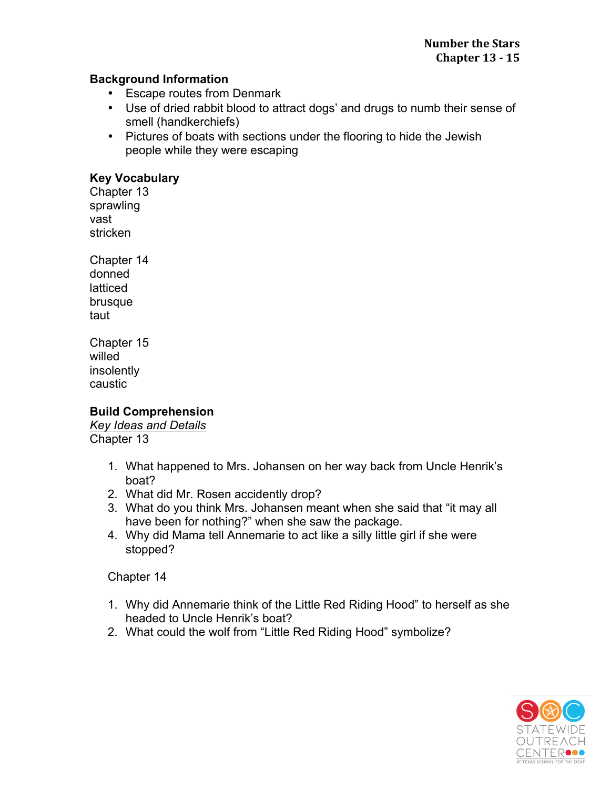# **Background Information**

- Escape routes from Denmark
- Use of dried rabbit blood to attract dogs' and drugs to numb their sense of smell (handkerchiefs)
- Pictures of boats with sections under the flooring to hide the Jewish people while they were escaping

# **Key Vocabulary**

Chapter 13 sprawling vast stricken

Chapter 14 donned latticed brusque taut

Chapter 15 willed insolently caustic

# **Build Comprehension**

*Key Ideas and Details*  Chapter 13

- 1. What happened to Mrs. Johansen on her way back from Uncle Henrik's boat?
- 2. What did Mr. Rosen accidently drop?
- 3. What do you think Mrs. Johansen meant when she said that "it may all have been for nothing?" when she saw the package.
- 4. Why did Mama tell Annemarie to act like a silly little girl if she were stopped?

Chapter 14

- 1. Why did Annemarie think of the Little Red Riding Hood" to herself as she headed to Uncle Henrik's boat?
- 2. What could the wolf from "Little Red Riding Hood" symbolize?